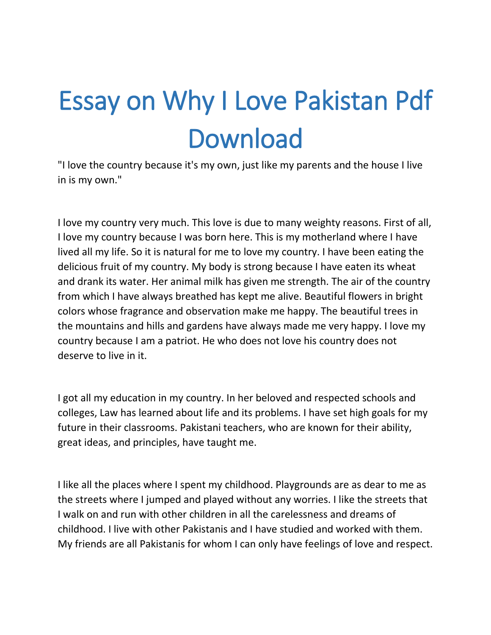## Essay on Why I Love Pakistan Pdf Download

"I love the country because it's my own, just like my parents and the house I live in is my own."

I love my country very much. This love is due to many weighty reasons. First of all, I love my country because I was born here. This is my motherland where I have lived all my life. So it is natural for me to love my country. I have been eating the delicious fruit of my country. My body is strong because I have eaten its wheat and drank its water. Her animal milk has given me strength. The air of the country from which I have always breathed has kept me alive. Beautiful flowers in bright colors whose fragrance and observation make me happy. The beautiful trees in the mountains and hills and gardens have always made me very happy. I love my country because I am a patriot. He who does not love his country does not deserve to live in it.

I got all my education in my country. In her beloved and respected schools and colleges, Law has learned about life and its problems. I have set high goals for my future in their classrooms. Pakistani teachers, who are known for their ability, great ideas, and principles, have taught me.

I like all the places where I spent my childhood. Playgrounds are as dear to me as the streets where I jumped and played without any worries. I like the streets that I walk on and run with other children in all the carelessness and dreams of childhood. I live with other Pakistanis and I have studied and worked with them. My friends are all Pakistanis for whom I can only have feelings of love and respect.